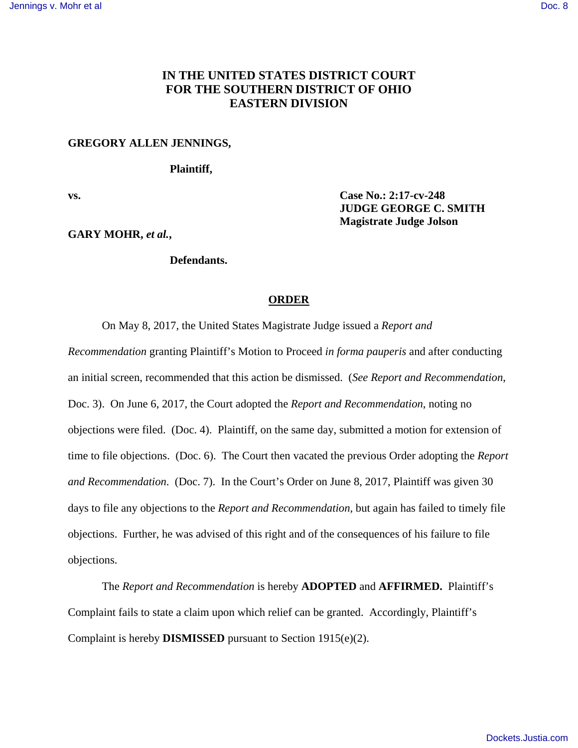# **IN THE UNITED STATES DISTRICT COURT FOR THE SOUTHERN DISTRICT OF OHIO EASTERN DIVISION**

#### **GREGORY ALLEN JENNINGS,**

### **Plaintiff,**

**vs. Case No.: 2:17-cv-248** 

**GARY MOHR,** *et al.***,** 

## **Defendants.**

### **ORDER**

 **JUDGE GEORGE C. SMITH Magistrate Judge Jolson**

On May 8, 2017, the United States Magistrate Judge issued a *Report and* 

*Recommendation* granting Plaintiff's Motion to Proceed *in forma pauperis* and after conducting an initial screen, recommended that this action be dismissed. (*See Report and Recommendation*, Doc. 3). On June 6, 2017, the Court adopted the *Report and Recommendation*, noting no objections were filed. (Doc. 4). Plaintiff, on the same day, submitted a motion for extension of time to file objections. (Doc. 6). The Court then vacated the previous Order adopting the *Report and Recommendation*. (Doc. 7). In the Court's Order on June 8, 2017, Plaintiff was given 30 days to file any objections to the *Report and Recommendation,* but again has failed to timely file objections. Further, he was advised of this right and of the consequences of his failure to file objections.

 The *Report and Recommendation* is hereby **ADOPTED** and **AFFIRMED.** Plaintiff's Complaint fails to state a claim upon which relief can be granted. Accordingly, Plaintiff's Complaint is hereby **DISMISSED** pursuant to Section 1915(e)(2).